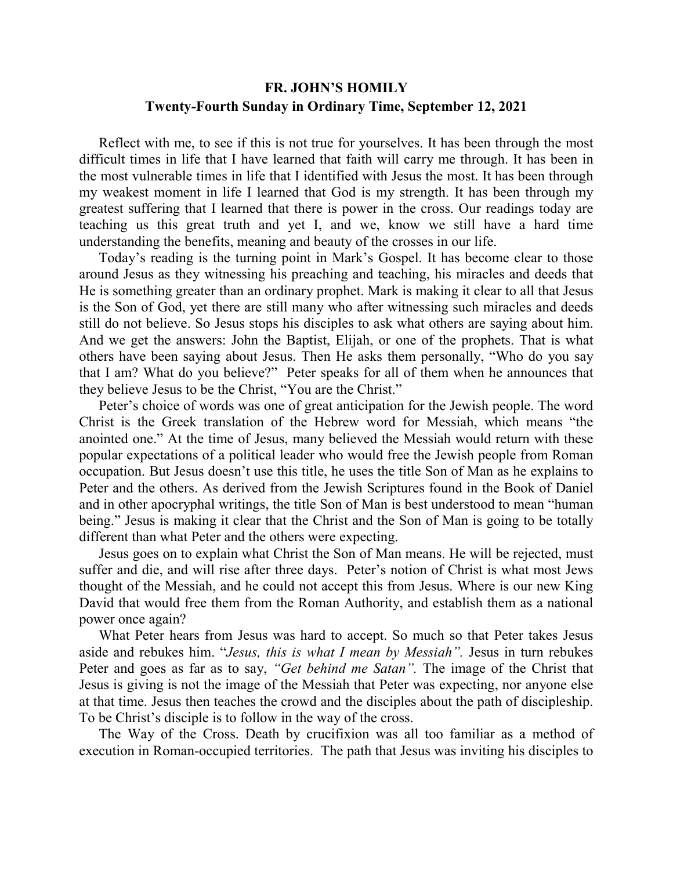## **FR. JOHN'S HOMILY Twenty-Fourth Sunday in Ordinary Time, September 12, 2021**

 Reflect with me, to see if this is not true for yourselves. It has been through the most difficult times in life that I have learned that faith will carry me through. It has been in the most vulnerable times in life that I identified with Jesus the most. It has been through my weakest moment in life I learned that God is my strength. It has been through my greatest suffering that I learned that there is power in the cross. Our readings today are teaching us this great truth and yet I, and we, know we still have a hard time understanding the benefits, meaning and beauty of the crosses in our life.

 Today's reading is the turning point in Mark's Gospel. It has become clear to those around Jesus as they witnessing his preaching and teaching, his miracles and deeds that He is something greater than an ordinary prophet. Mark is making it clear to all that Jesus is the Son of God, yet there are still many who after witnessing such miracles and deeds still do not believe. So Jesus stops his disciples to ask what others are saying about him. And we get the answers: John the Baptist, Elijah, or one of the prophets. That is what others have been saying about Jesus. Then He asks them personally, "Who do you say that I am? What do you believe?" Peter speaks for all of them when he announces that they believe Jesus to be the Christ, "You are the Christ."

 Peter's choice of words was one of great anticipation for the Jewish people. The word Christ is the Greek translation of the Hebrew word for Messiah, which means "the anointed one." At the time of Jesus, many believed the Messiah would return with these popular expectations of a political leader who would free the Jewish people from Roman occupation. But Jesus doesn't use this title, he uses the title Son of Man as he explains to Peter and the others. As derived from the Jewish Scriptures found in the Book of Daniel and in other apocryphal writings, the title Son of Man is best understood to mean "human being." Jesus is making it clear that the Christ and the Son of Man is going to be totally different than what Peter and the others were expecting.

 Jesus goes on to explain what Christ the Son of Man means. He will be rejected, must suffer and die, and will rise after three days. Peter's notion of Christ is what most Jews thought of the Messiah, and he could not accept this from Jesus. Where is our new King David that would free them from the Roman Authority, and establish them as a national power once again?

 What Peter hears from Jesus was hard to accept. So much so that Peter takes Jesus aside and rebukes him. "*Jesus, this is what I mean by Messiah".* Jesus in turn rebukes Peter and goes as far as to say, *"Get behind me Satan".* The image of the Christ that Jesus is giving is not the image of the Messiah that Peter was expecting, nor anyone else at that time. Jesus then teaches the crowd and the disciples about the path of discipleship. To be Christ's disciple is to follow in the way of the cross.

 The Way of the Cross. Death by crucifixion was all too familiar as a method of execution in Roman-occupied territories. The path that Jesus was inviting his disciples to